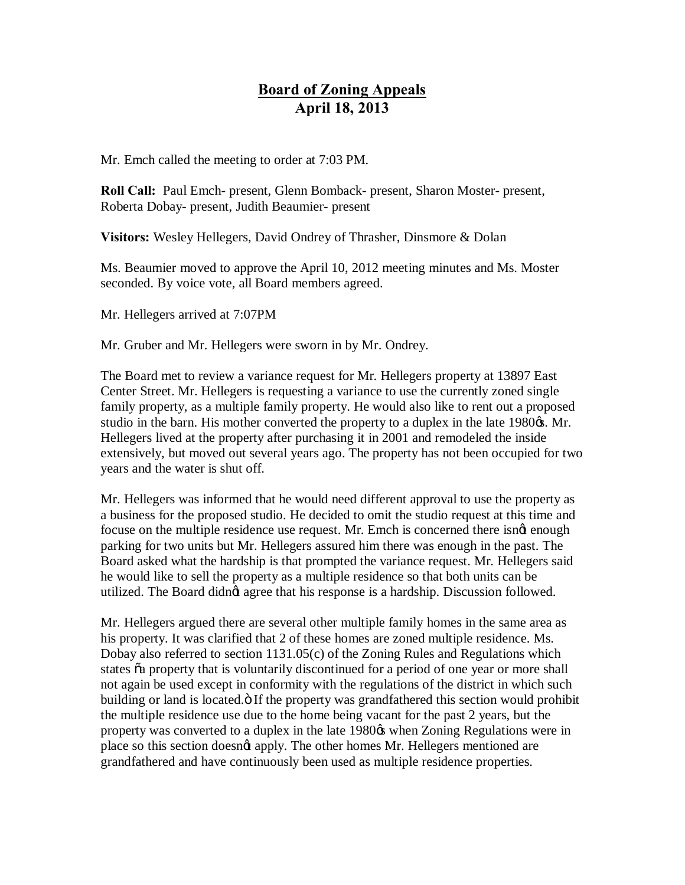## **Board of Zoning Appeals April 18, 2013**

Mr. Emch called the meeting to order at 7:03 PM.

**Roll Call:** Paul Emch- present, Glenn Bomback- present, Sharon Moster- present, Roberta Dobay- present, Judith Beaumier- present

**Visitors:** Wesley Hellegers, David Ondrey of Thrasher, Dinsmore & Dolan

Ms. Beaumier moved to approve the April 10, 2012 meeting minutes and Ms. Moster seconded. By voice vote, all Board members agreed.

Mr. Hellegers arrived at 7:07PM

Mr. Gruber and Mr. Hellegers were sworn in by Mr. Ondrey.

The Board met to review a variance request for Mr. Hellegers property at 13897 East Center Street. Mr. Hellegers is requesting a variance to use the currently zoned single family property, as a multiple family property. He would also like to rent out a proposed studio in the barn. His mother converted the property to a duplex in the late 1980 $\alpha$ . Mr. Hellegers lived at the property after purchasing it in 2001 and remodeled the inside extensively, but moved out several years ago. The property has not been occupied for two years and the water is shut off.

Mr. Hellegers was informed that he would need different approval to use the property as a business for the proposed studio. He decided to omit the studio request at this time and focuse on the multiple residence use request. Mr. Emch is concerned there isngt enough parking for two units but Mr. Hellegers assured him there was enough in the past. The Board asked what the hardship is that prompted the variance request. Mr. Hellegers said he would like to sell the property as a multiple residence so that both units can be utilized. The Board didn't agree that his response is a hardship. Discussion followed.

Mr. Hellegers argued there are several other multiple family homes in the same area as his property. It was clarified that 2 of these homes are zoned multiple residence. Ms. Dobay also referred to section 1131.05(c) of the Zoning Rules and Regulations which states  $\tilde{\alpha}$  property that is voluntarily discontinued for a period of one year or more shall not again be used except in conformity with the regulations of the district in which such building or land is located. The property was grandfathered this section would prohibit the multiple residence use due to the home being vacant for the past 2 years, but the property was converted to a duplex in the late 1980 $\alpha$  when Zoning Regulations were in place so this section doesn't apply. The other homes Mr. Hellegers mentioned are grandfathered and have continuously been used as multiple residence properties.